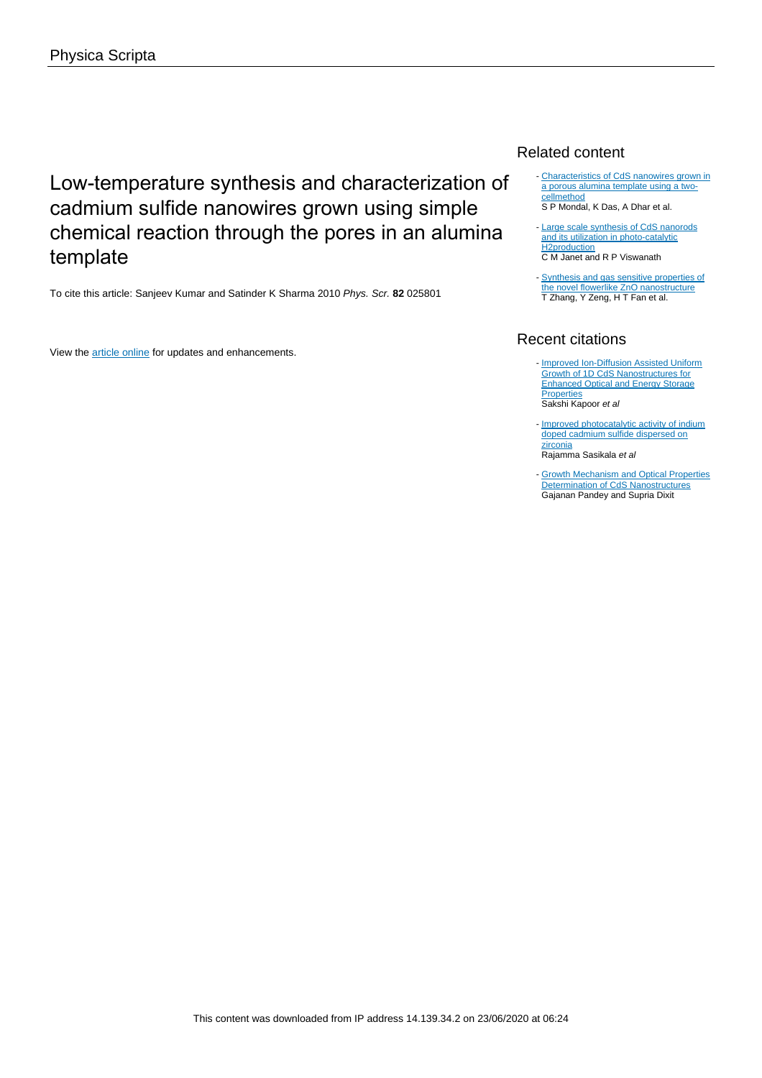# Low-temperature synthesis and characterization of cadmium sulfide nanowires grown using simple chemical reaction through the pores in an alumina template

To cite this article: Sanjeev Kumar and Satinder K Sharma 2010 Phys. Scr. **82** 025801

View the [article online](https://doi.org/10.1088/0031-8949/82/02/025801) for updates and enhancements.

## Related content

- [Characteristics of CdS nanowires grown in](http://iopscience.iop.org/article/10.1088/0957-4484/18/9/095606) [a porous alumina template using a two](http://iopscience.iop.org/article/10.1088/0957-4484/18/9/095606)[cellmethod](http://iopscience.iop.org/article/10.1088/0957-4484/18/9/095606)

S P Mondal, K Das, A Dhar et al.

- [Large scale synthesis of CdS nanorods](http://iopscience.iop.org/article/10.1088/0957-4484/17/20/038) [and its utilization in photo-catalytic](http://iopscience.iop.org/article/10.1088/0957-4484/17/20/038) [H2production](http://iopscience.iop.org/article/10.1088/0957-4484/17/20/038) C M Janet and R P Viswanath
- [Synthesis and gas sensitive properties of](http://iopscience.iop.org/article/10.1088/0022-3727/42/4/045103) [the novel flowerlike ZnO nanostructure](http://iopscience.iop.org/article/10.1088/0022-3727/42/4/045103) T Zhang, Y Zeng, H T Fan et al.

# Recent citations

- **[Improved Ion-Diffusion Assisted Uniform](http://dx.doi.org/10.1016/j.apsusc.2020.145654)** [Growth of 1D CdS Nanostructures for](http://dx.doi.org/10.1016/j.apsusc.2020.145654) [Enhanced Optical and Energy Storage](http://dx.doi.org/10.1016/j.apsusc.2020.145654) **[Properties](http://dx.doi.org/10.1016/j.apsusc.2020.145654)** Sakshi Kapoor et al
- [Improved photocatalytic activity of indium](http://dx.doi.org/10.1039/c1jm12531a) [doped cadmium sulfide dispersed on](http://dx.doi.org/10.1039/c1jm12531a) [zirconia](http://dx.doi.org/10.1039/c1jm12531a)
- Rajamma Sasikala et al
- **[Growth Mechanism and Optical Properties](http://dx.doi.org/10.1021/jp2015897) [Determination of CdS Nanostructures](http://dx.doi.org/10.1021/jp2015897)** Gajanan Pandey and Supria Dixit -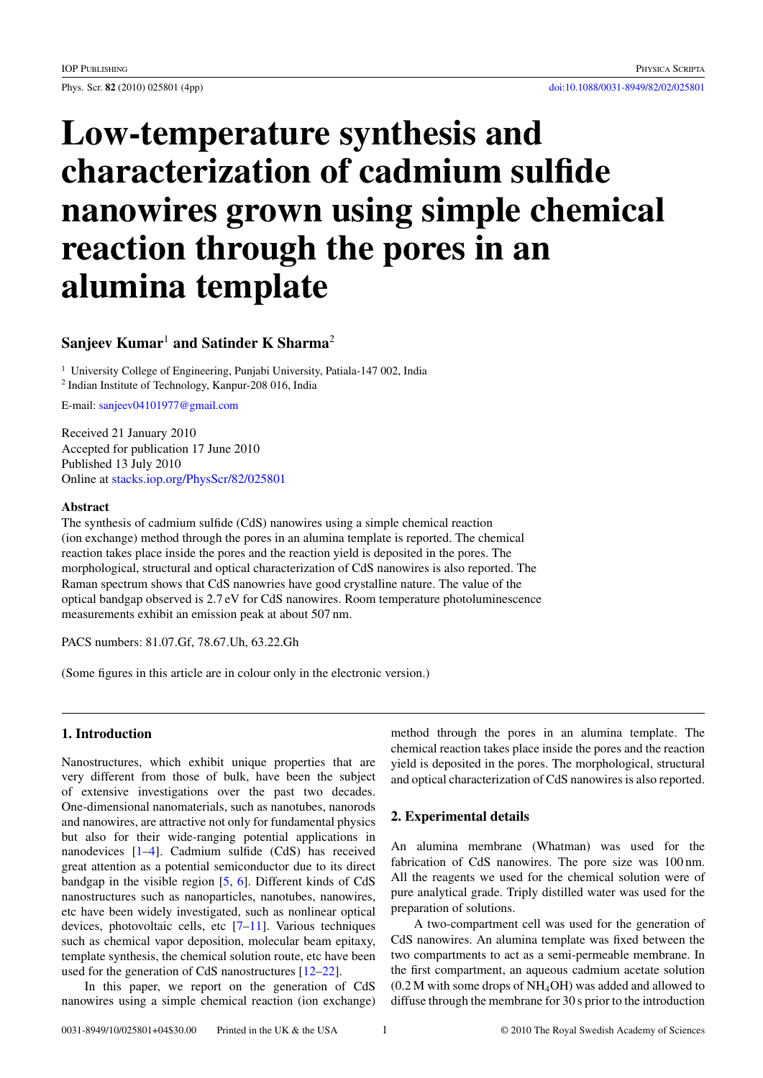# **Low-temperature synthesis and characterization of cadmium sulfide nanowires grown using simple chemical reaction through the pores in an alumina template**

# **Sanjeev Kumar**<sup>1</sup> **and Satinder K Sharma**<sup>2</sup>

<sup>1</sup> University College of Engineering, Punjabi University, Patiala-147 002, India 2 Indian Institute of Technology, Kanpur-208 016, India

E-mail: [sanjeev04101977@gmail.com](mailto:sanjeev04101977@gmail.com)

Received 21 January 2010 Accepted for publication 17 June 2010 Published 13 July 2010 Online at [stacks.iop.org/PhysScr/82/025801](http://stacks.iop.org/PhysScr/82/025801)

#### **Abstract**

The synthesis of cadmium sulfide (CdS) nanowires using a simple chemical reaction (ion exchange) method through the pores in an alumina template is reported. The chemical reaction takes place inside the pores and the reaction yield is deposited in the pores. The morphological, structural and optical characterization of CdS nanowires is also reported. The Raman spectrum shows that CdS nanowries have good crystalline nature. The value of the optical bandgap observed is 2.7 eV for CdS nanowires. Room temperature photoluminescence measurements exhibit an emission peak at about 507 nm.

PACS numbers: 81.07.Gf, 78.67.Uh, 63.22.Gh

(Some figures in this article are in colour only in the electronic version.)

### **1. Introduction**

Nanostructures, which exhibit unique properties that are very different from those of bulk, have been the subject of extensive investigations over the past two decades. One-dimensional nanomaterials, such as nanotubes, nanorods and nanowires, are attractive not only for fundamental physics but also for their wide-ranging potential applications in nanodevices [\[1–4\]](#page-4-0). Cadmium sulfide (CdS) has received great attention as a potential semiconductor due to its direct bandgap in the visible region [\[5,](#page-4-0) [6\]](#page-4-0). Different kinds of CdS nanostructures such as nanoparticles, nanotubes, nanowires, etc have been widely investigated, such as nonlinear optical devices, photovoltaic cells, etc [\[7–11\]](#page-4-0). Various techniques such as chemical vapor deposition, molecular beam epitaxy, template synthesis, the chemical solution route, etc have been used for the generation of CdS nanostructures [\[12–22\]](#page-4-0).

In this paper, we report on the generation of CdS nanowires using a simple chemical reaction (ion exchange)

method through the pores in an alumina template. The chemical reaction takes place inside the pores and the reaction yield is deposited in the pores. The morphological, structural and optical characterization of CdS nanowires is also reported.

### **2. Experimental details**

An alumina membrane (Whatman) was used for the fabrication of CdS nanowires. The pore size was 100 nm. All the reagents we used for the chemical solution were of pure analytical grade. Triply distilled water was used for the preparation of solutions.

A two-compartment cell was used for the generation of CdS nanowires. An alumina template was fixed between the two compartments to act as a semi-permeable membrane. In the first compartment, an aqueous cadmium acetate solution (0.2 M with some drops of NH4OH) was added and allowed to diffuse through the membrane for 30 s prior to the introduction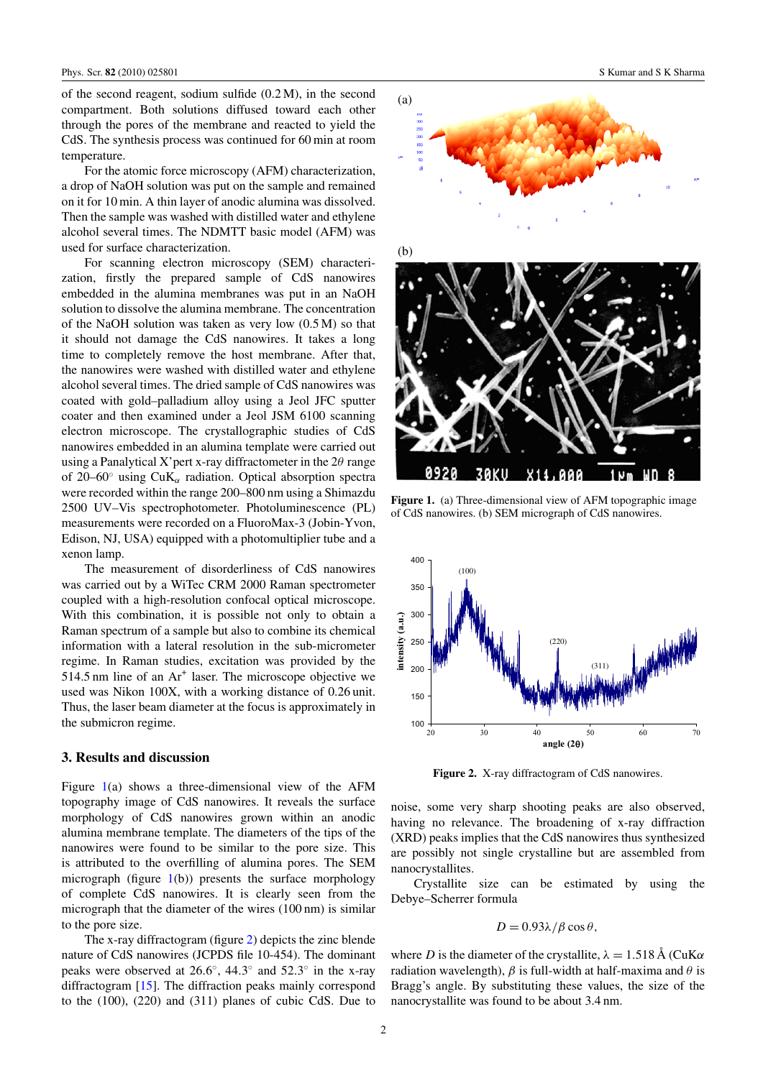of the second reagent, sodium sulfide (0.2 M), in the second compartment. Both solutions diffused toward each other through the pores of the membrane and reacted to yield the CdS. The synthesis process was continued for 60 min at room temperature.

For the atomic force microscopy (AFM) characterization, a drop of NaOH solution was put on the sample and remained on it for 10 min. A thin layer of anodic alumina was dissolved. Then the sample was washed with distilled water and ethylene alcohol several times. The NDMTT basic model (AFM) was used for surface characterization.

For scanning electron microscopy (SEM) characterization, firstly the prepared sample of CdS nanowires embedded in the alumina membranes was put in an NaOH solution to dissolve the alumina membrane. The concentration of the NaOH solution was taken as very low (0.5 M) so that it should not damage the CdS nanowires. It takes a long time to completely remove the host membrane. After that, the nanowires were washed with distilled water and ethylene alcohol several times. The dried sample of CdS nanowires was coated with gold–palladium alloy using a Jeol JFC sputter coater and then examined under a Jeol JSM 6100 scanning electron microscope. The crystallographic studies of CdS nanowires embedded in an alumina template were carried out using a Panalytical X'pert x-ray diffractometer in the  $2\theta$  range of 20–60 $\degree$  using CuK<sub>α</sub> radiation. Optical absorption spectra were recorded within the range 200–800 nm using a Shimazdu 2500 UV–Vis spectrophotometer. Photoluminescence (PL) measurements were recorded on a FluoroMax-3 (Jobin-Yvon, Edison, NJ, USA) equipped with a photomultiplier tube and a xenon lamp.

The measurement of disorderliness of CdS nanowires was carried out by a WiTec CRM 2000 Raman spectrometer coupled with a high-resolution confocal optical microscope. With this combination, it is possible not only to obtain a Raman spectrum of a sample but also to combine its chemical information with a lateral resolution in the sub-micrometer regime. In Raman studies, excitation was provided by the  $514.5$  nm line of an  $Ar<sup>+</sup>$  laser. The microscope objective we used was Nikon 100X, with a working distance of 0.26 unit. Thus, the laser beam diameter at the focus is approximately in the submicron regime.

#### **3. Results and discussion**

Figure 1(a) shows a three-dimensional view of the AFM topography image of CdS nanowires. It reveals the surface morphology of CdS nanowires grown within an anodic alumina membrane template. The diameters of the tips of the nanowires were found to be similar to the pore size. This is attributed to the overfilling of alumina pores. The SEM micrograph (figure  $1(b)$ ) presents the surface morphology of complete CdS nanowires. It is clearly seen from the micrograph that the diameter of the wires (100 nm) is similar to the pore size.

The x-ray diffractogram (figure 2) depicts the zinc blende nature of CdS nanowires (JCPDS file 10-454). The dominant peaks were observed at  $26.6^{\circ}$ , 44.3° and  $52.3^{\circ}$  in the x-ray diffractogram [\[15\]](#page-4-0). The diffraction peaks mainly correspond to the (100), (220) and (311) planes of cubic CdS. Due to



**Figure 1.** (a) Three-dimensional view of AFM topographic image of CdS nanowires. (b) SEM micrograph of CdS nanowires.



**Figure 2.** X-ray diffractogram of CdS nanowires.

noise, some very sharp shooting peaks are also observed, having no relevance. The broadening of x-ray diffraction (XRD) peaks implies that the CdS nanowires thus synthesized are possibly not single crystalline but are assembled from nanocrystallites.

Crystallite size can be estimated by using the Debye–Scherrer formula

$$
D = 0.93\lambda/\beta\cos\theta,
$$

where *D* is the diameter of the crystallite,  $\lambda = 1.518 \text{ Å}$  (CuK $\alpha$ ) radiation wavelength),  $\beta$  is full-width at half-maxima and  $\theta$  is Bragg's angle. By substituting these values, the size of the nanocrystallite was found to be about 3.4 nm.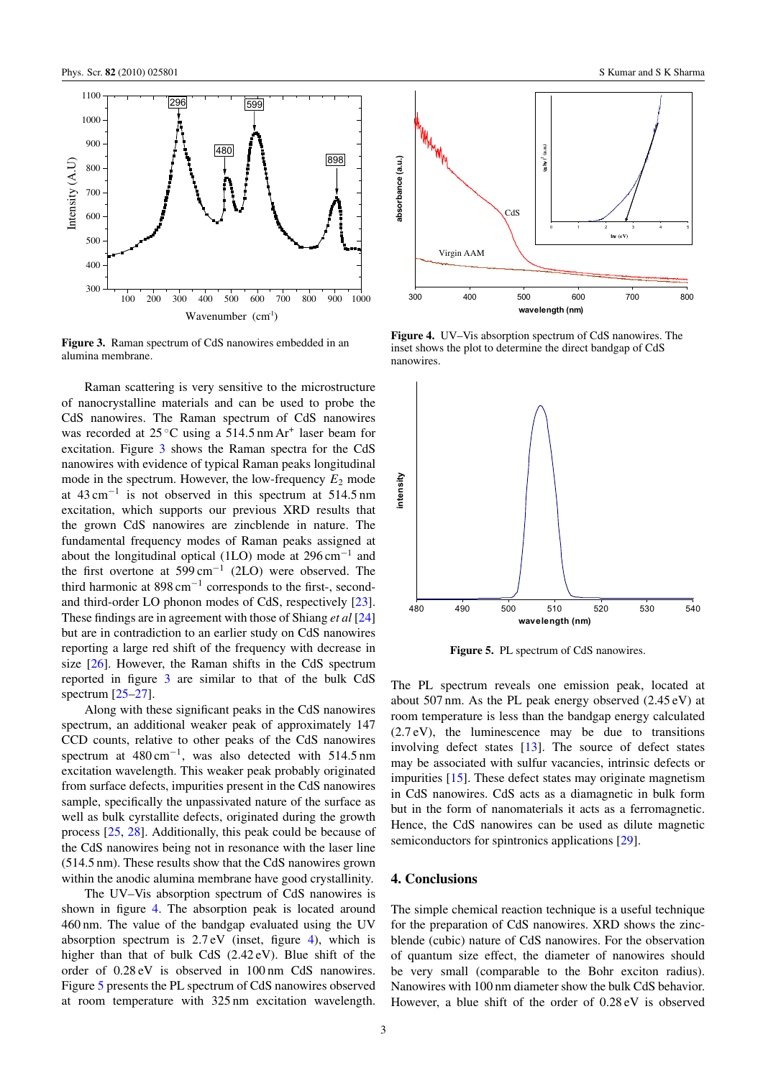

**Figure 3.** Raman spectrum of CdS nanowires embedded in an alumina membrane.

Raman scattering is very sensitive to the microstructure of nanocrystalline materials and can be used to probe the CdS nanowires. The Raman spectrum of CdS nanowires was recorded at  $25^{\circ}$ C using a 514.5 nm Ar<sup>+</sup> laser beam for excitation. Figure 3 shows the Raman spectra for the CdS nanowires with evidence of typical Raman peaks longitudinal mode in the spectrum. However, the low-frequency  $E_2$  mode at  $43 \text{ cm}^{-1}$  is not observed in this spectrum at  $514.5 \text{ nm}$ excitation, which supports our previous XRD results that the grown CdS nanowires are zincblende in nature. The fundamental frequency modes of Raman peaks assigned at about the longitudinal optical (1LO) mode at 296 cm<sup>−</sup><sup>1</sup> and the first overtone at  $599 \text{ cm}^{-1}$  (2LO) were observed. The third harmonic at 898 cm<sup>−</sup><sup>1</sup> corresponds to the first-, secondand third-order LO phonon modes of CdS, respectively [\[23\]](#page-4-0). These findings are in agreement with those of Shiang *et al* [\[24\]](#page-4-0) but are in contradiction to an earlier study on CdS nanowires reporting a large red shift of the frequency with decrease in size [\[26\]](#page-4-0). However, the Raman shifts in the CdS spectrum reported in figure 3 are similar to that of the bulk CdS spectrum [\[25–27\]](#page-4-0).

Along with these significant peaks in the CdS nanowires spectrum, an additional weaker peak of approximately 147 CCD counts, relative to other peaks of the CdS nanowires spectrum at 480 cm<sup>-1</sup>, was also detected with 514.5 nm excitation wavelength. This weaker peak probably originated from surface defects, impurities present in the CdS nanowires sample, specifically the unpassivated nature of the surface as well as bulk cyrstallite defects, originated during the growth process [\[25,](#page-4-0) [28\]](#page-4-0). Additionally, this peak could be because of the CdS nanowires being not in resonance with the laser line (514.5 nm). These results show that the CdS nanowires grown within the anodic alumina membrane have good crystallinity.

The UV–Vis absorption spectrum of CdS nanowires is shown in figure 4. The absorption peak is located around 460 nm. The value of the bandgap evaluated using the UV absorption spectrum is  $2.7 \text{ eV}$  (inset, figure 4), which is higher than that of bulk CdS (2.42 eV). Blue shift of the order of 0.28 eV is observed in 100 nm CdS nanowires. Figure 5 presents the PL spectrum of CdS nanowires observed at room temperature with 325 nm excitation wavelength.



**Figure 4.** UV–Vis absorption spectrum of CdS nanowires. The inset shows the plot to determine the direct bandgap of CdS nanowires.



Figure 5. PL spectrum of CdS nanowires.

The PL spectrum reveals one emission peak, located at about 507 nm. As the PL peak energy observed (2.45 eV) at room temperature is less than the bandgap energy calculated (2.7 eV), the luminescence may be due to transitions involving defect states [\[13\]](#page-4-0). The source of defect states may be associated with sulfur vacancies, intrinsic defects or impurities [\[15\]](#page-4-0). These defect states may originate magnetism in CdS nanowires. CdS acts as a diamagnetic in bulk form but in the form of nanomaterials it acts as a ferromagnetic. Hence, the CdS nanowires can be used as dilute magnetic semiconductors for spintronics applications [\[29\]](#page-4-0).

#### **4. Conclusions**

The simple chemical reaction technique is a useful technique for the preparation of CdS nanowires. XRD shows the zincblende (cubic) nature of CdS nanowires. For the observation of quantum size effect, the diameter of nanowires should be very small (comparable to the Bohr exciton radius). Nanowires with 100 nm diameter show the bulk CdS behavior. However, a blue shift of the order of 0.28 eV is observed